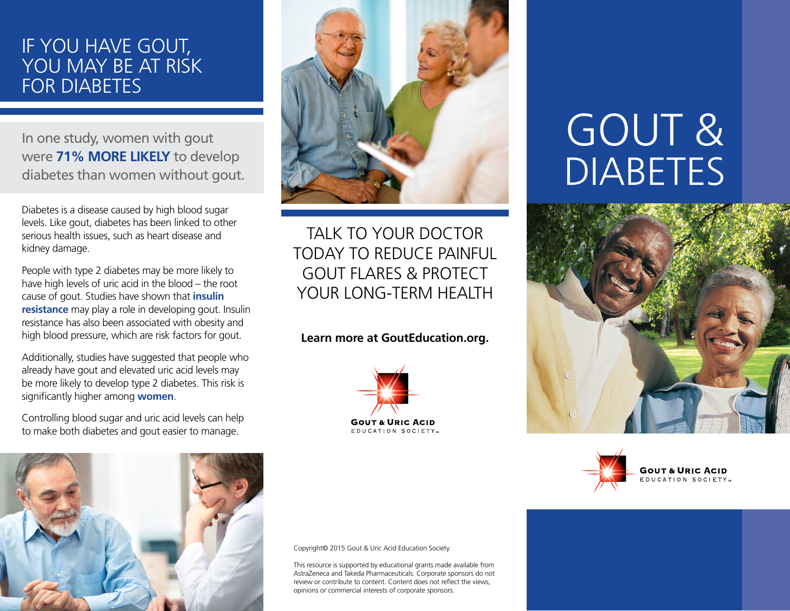# IF YOU HAVE GOUT, YOU MAY BE AT RISK FOR DIABETES

In one study, women with gout were **71% MORE LIKELY** to develop diabetes than women without gout.

Diabetes is a disease caused by high blood sugar levels. Like gout, diabetes has been linked to other serious health issues, such as heart disease and kidney damage.

People with type 2 diabetes may be more likely to have high levels of uric acid in the blood – the root cause of gout. Studies have shown that **insulin resistance** may play a role in developing gout. Insulin resistance has also been associated with obesity and high blood pressure, which are risk factors for gout.

Additionally, studies have suggested that people who already have gout and elevated uric acid levels may be more likely to develop type 2 diabetes. This risk is significantly higher among **women**.

Controlling blood sugar and uric acid levels can help to make both diabetes and gout easier to manage.





TALK TO YOUR DOCTOR TODAY TO REDUCE PAINFUL GOUT FLARES & PROTECT YOUR LONG-TERM HEALTH

### **Learn more at GoutEducation.org.**



GOUT & DIABETES





#### Copyright© 2015 Gout & Uric Acid Education Society.

This resource is supported by educational grants made available from AstraZeneca and Takeda Pharmaceuticals. Corporate sponsors do not review or contribute to content. Content does not reflect the views, opinions or commercial interests of corporate sponsors.